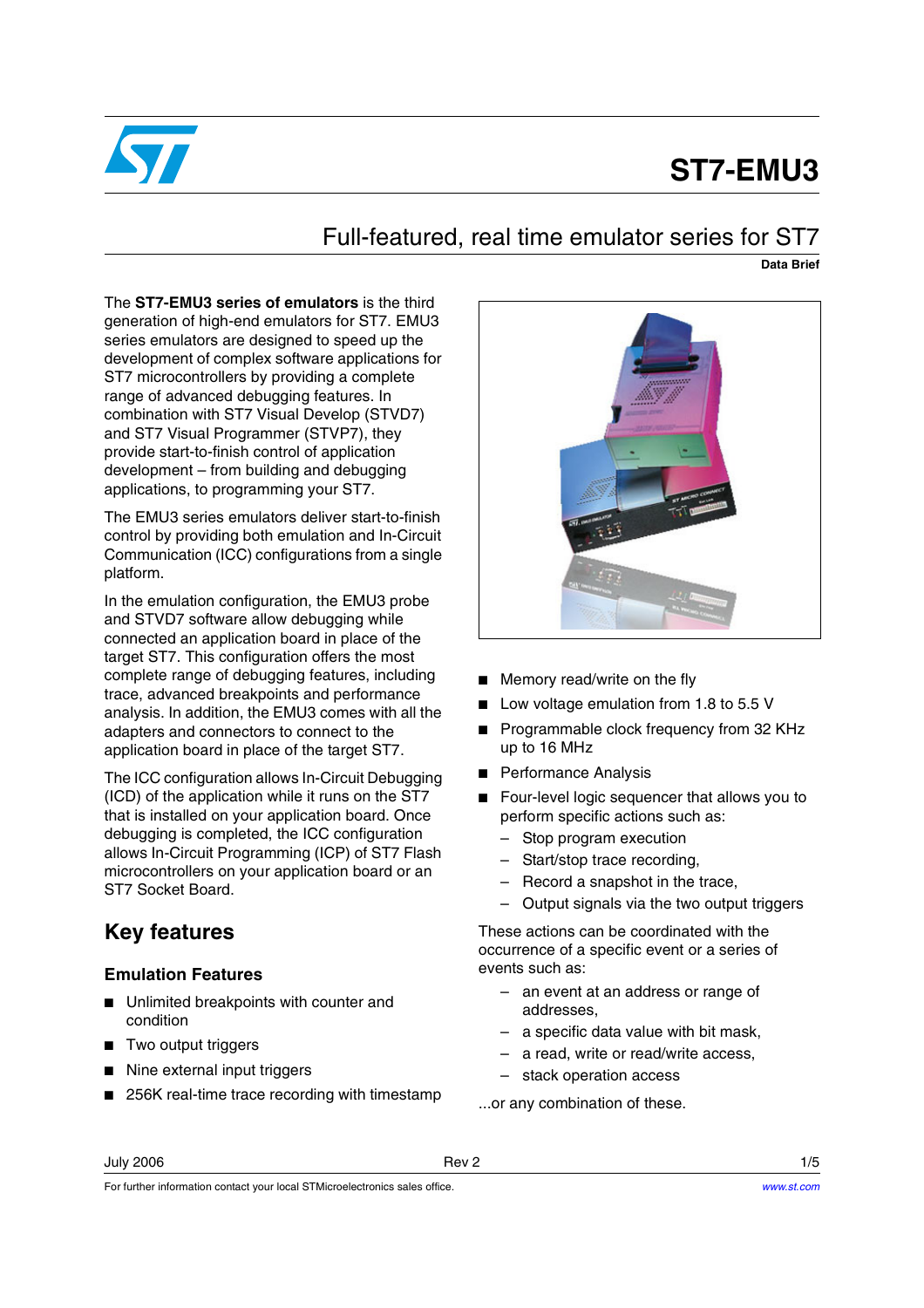

# **ST7-EMU3**

# Full-featured, real time emulator series for ST7

**Data Brief**

The **ST7-EMU3 series of emulators** is the third generation of high-end emulators for ST7. EMU3 series emulators are designed to speed up the development of complex software applications for ST7 microcontrollers by providing a complete range of advanced debugging features. In combination with ST7 Visual Develop (STVD7) and ST7 Visual Programmer (STVP7), they provide start-to-finish control of application development – from building and debugging applications, to programming your ST7.

The EMU3 series emulators deliver start-to-finish control by providing both emulation and In-Circuit Communication (ICC) configurations from a single platform.

In the emulation configuration, the EMU3 probe and STVD7 software allow debugging while connected an application board in place of the target ST7. This configuration offers the most complete range of debugging features, including trace, advanced breakpoints and performance analysis. In addition, the EMU3 comes with all the adapters and connectors to connect to the application board in place of the target ST7.

The ICC configuration allows In-Circuit Debugging (ICD) of the application while it runs on the ST7 that is installed on your application board. Once debugging is completed, the ICC configuration allows In-Circuit Programming (ICP) of ST7 Flash microcontrollers on your application board or an ST7 Socket Board.

# **Key features**

#### **Emulation Features**

- Unlimited breakpoints with counter and condition
- Two output triggers
- Nine external input triggers
- 256K real-time trace recording with timestamp



- Memory read/write on the fly
- Low voltage emulation from 1.8 to 5.5 V
- Programmable clock frequency from 32 KHz up to 16 MHz
- Performance Analysis
- Four-level logic sequencer that allows you to perform specific actions such as:
	- Stop program execution
	- Start/stop trace recording,
	- Record a snapshot in the trace,
	- Output signals via the two output triggers

These actions can be coordinated with the occurrence of a specific event or a series of events such as:

- an event at an address or range of addresses,
- a specific data value with bit mask,
- a read, write or read/write access,
- stack operation access

...or any combination of these.

July 2006 Rev 2 1/5

For further information contact your local STMicroelectronics sales office.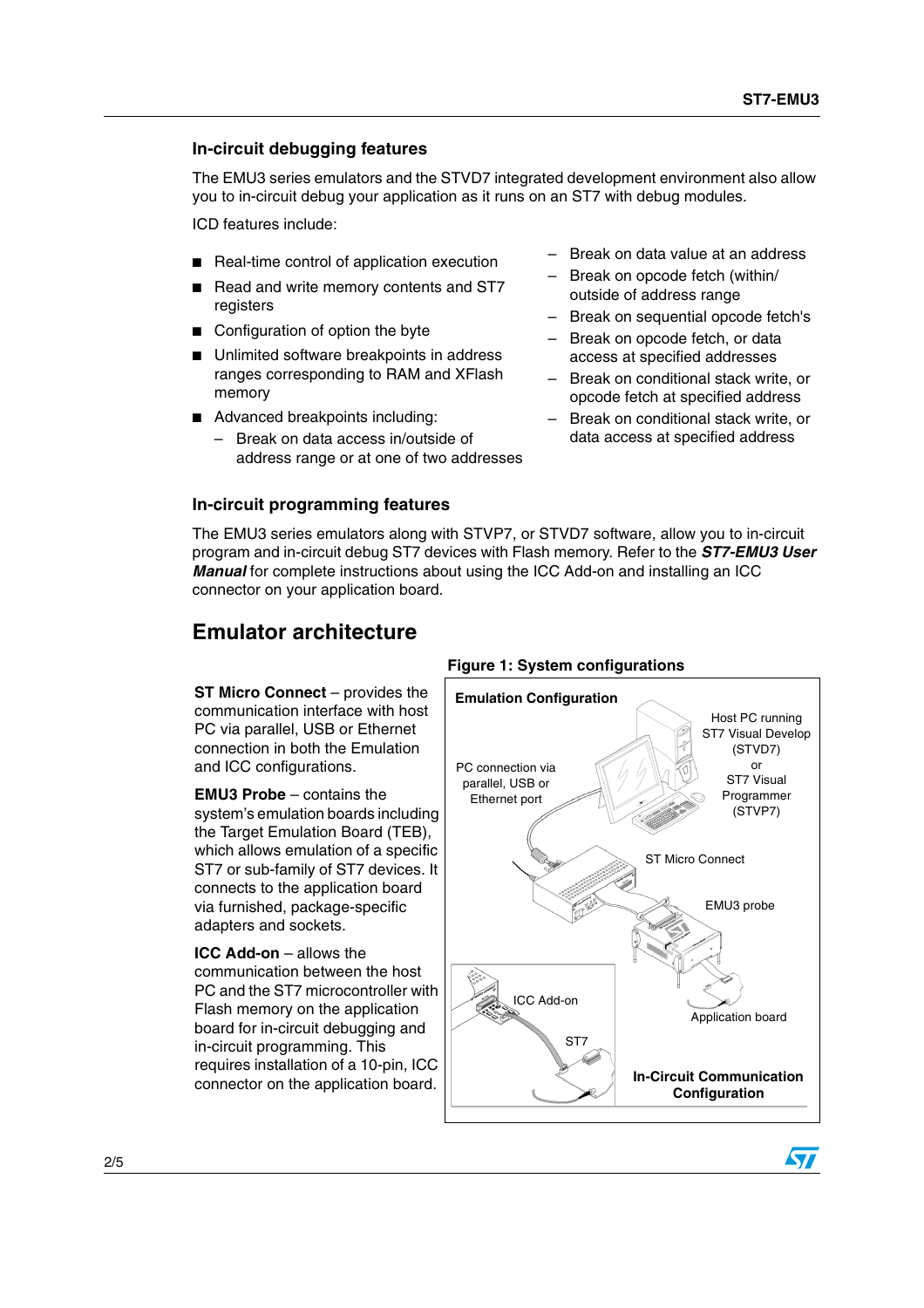#### **In-circuit debugging features**

The EMU3 series emulators and the STVD7 integrated development environment also allow you to in-circuit debug your application as it runs on an ST7 with debug modules.

ICD features include:

- Real-time control of application execution
- Read and write memory contents and ST7 registers
- Configuration of option the byte
- Unlimited software breakpoints in address ranges corresponding to RAM and XFlash memory
- Advanced breakpoints including:
	- Break on data access in/outside of address range or at one of two addresses

#### **In-circuit programming features**

- Break on data value at an address
- Break on opcode fetch (within/ outside of address range
- Break on sequential opcode fetch's
- Break on opcode fetch, or data access at specified addresses
- Break on conditional stack write, or opcode fetch at specified address
- Break on conditional stack write, or data access at specified address

The EMU3 series emulators along with STVP7, or STVD7 software, allow you to in-circuit program and in-circuit debug ST7 devices with Flash memory. Refer to the **ST7-EMU3 User Manual** for complete instructions about using the ICC Add-on and installing an ICC connector on your application board.

**Figure 1: System configurations**

### **Emulator architecture**

**ST Micro Connect** – provides the communication interface with host PC via parallel, USB or Ethernet connection in both the Emulation and ICC configurations.

**EMU3 Probe** – contains the system's emulation boards including the Target Emulation Board (TEB), which allows emulation of a specific ST7 or sub-family of ST7 devices. It connects to the application board via furnished, package-specific adapters and sockets.

**ICC Add-on** – allows the communication between the host PC and the ST7 microcontroller with Flash memory on the application board for in-circuit debugging and in-circuit programming. This requires installation of a 10-pin, ICC

## connector on the application board. **In-Circuit Communication Configuration Emulation Configuration** PC connection via parallel, USB or Ethernet port ICC Add-on ST Micro Connect EMU3 probe ST7 Host PC running ST7 Visual Develop (STVD7) or ST7 Visual Programmer (STVP7) Application board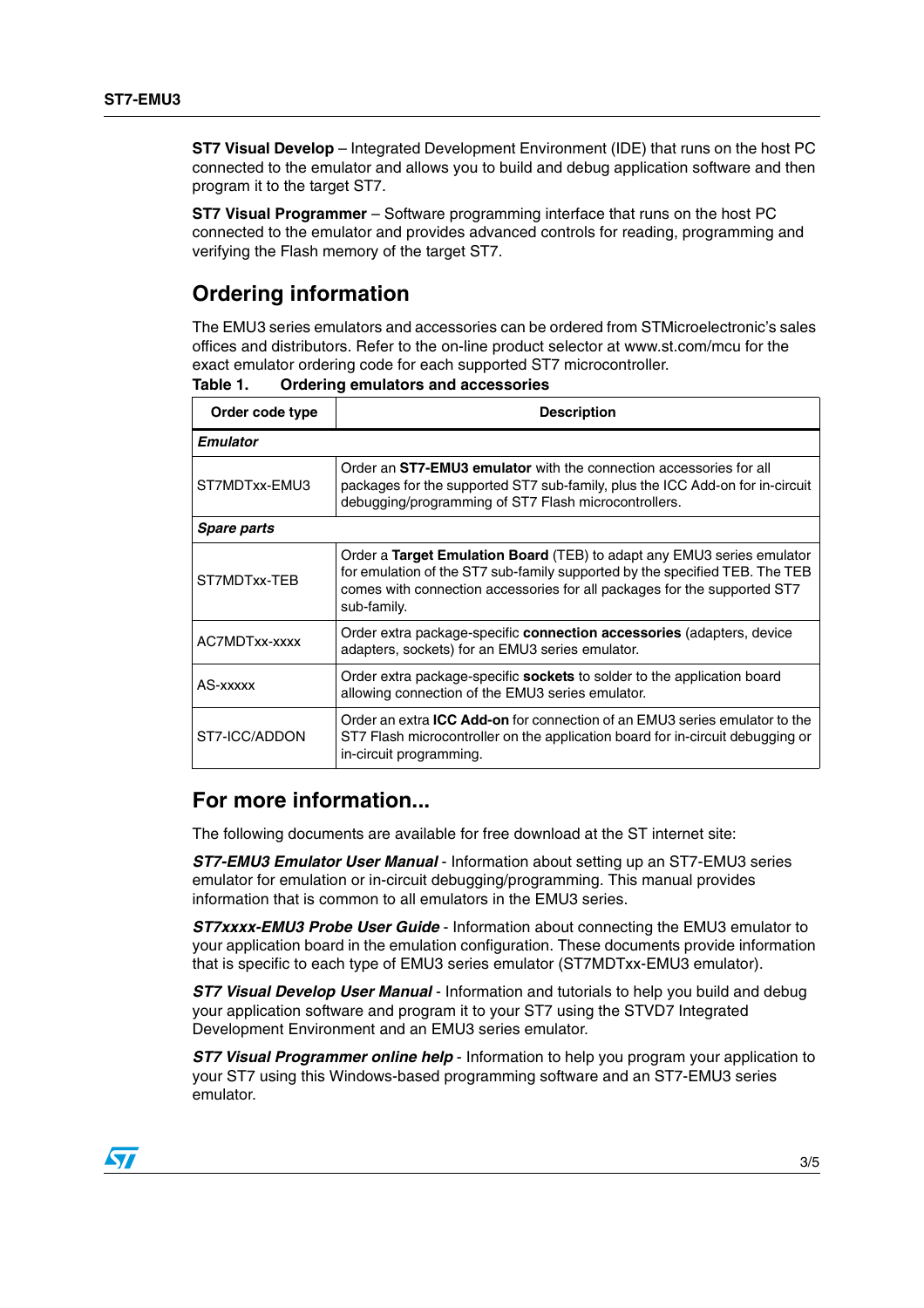**ST7 Visual Develop** – Integrated Development Environment (IDE) that runs on the host PC connected to the emulator and allows you to build and debug application software and then program it to the target ST7.

**ST7 Visual Programmer** – Software programming interface that runs on the host PC connected to the emulator and provides advanced controls for reading, programming and verifying the Flash memory of the target ST7.

## **Ordering information**

The EMU3 series emulators and accessories can be ordered from STMicroelectronic's sales offices and distributors. Refer to the on-line product selector at www.st.com/mcu for the exact emulator ordering code for each supported ST7 microcontroller.

| Order code type    | <b>Description</b>                                                                                                                                                                                                                               |  |  |  |
|--------------------|--------------------------------------------------------------------------------------------------------------------------------------------------------------------------------------------------------------------------------------------------|--|--|--|
| <b>Emulator</b>    |                                                                                                                                                                                                                                                  |  |  |  |
| ST7MDTxx-FMU3      | Order an ST7-EMU3 emulator with the connection accessories for all<br>packages for the supported ST7 sub-family, plus the ICC Add-on for in-circuit<br>debugging/programming of ST7 Flash microcontrollers.                                      |  |  |  |
| <b>Spare parts</b> |                                                                                                                                                                                                                                                  |  |  |  |
| ST7MDTxx-TEB       | Order a Target Emulation Board (TEB) to adapt any EMU3 series emulator<br>for emulation of the ST7 sub-family supported by the specified TEB. The TEB<br>comes with connection accessories for all packages for the supported ST7<br>sub-family. |  |  |  |
| AC7MDTxx-xxxx      | Order extra package-specific connection accessories (adapters, device<br>adapters, sockets) for an EMU3 series emulator.                                                                                                                         |  |  |  |
| AS-xxxxx           | Order extra package-specific <b>sockets</b> to solder to the application board<br>allowing connection of the EMU3 series emulator.                                                                                                               |  |  |  |
| ST7-ICC/ADDON      | Order an extra <b>ICC Add-on</b> for connection of an EMU3 series emulator to the<br>ST7 Flash microcontroller on the application board for in-circuit debugging or<br>in-circuit programming.                                                   |  |  |  |

<span id="page-2-0"></span>**Table 1. Ordering emulators and accessories**

#### **For more information...**

The following documents are available for free download at the ST internet site:

**ST7-EMU3 Emulator User Manual** - Information about setting up an ST7-EMU3 series emulator for emulation or in-circuit debugging/programming. This manual provides information that is common to all emulators in the EMU3 series.

**ST7xxxx-EMU3 Probe User Guide** - Information about connecting the EMU3 emulator to your application board in the emulation configuration. These documents provide information that is specific to each type of EMU3 series emulator (ST7MDTxx-EMU3 emulator).

**ST7 Visual Develop User Manual** - Information and tutorials to help you build and debug your application software and program it to your ST7 using the STVD7 Integrated Development Environment and an EMU3 series emulator.

**ST7 Visual Programmer online help** - Information to help you program your application to your ST7 using this Windows-based programming software and an ST7-EMU3 series emulator.

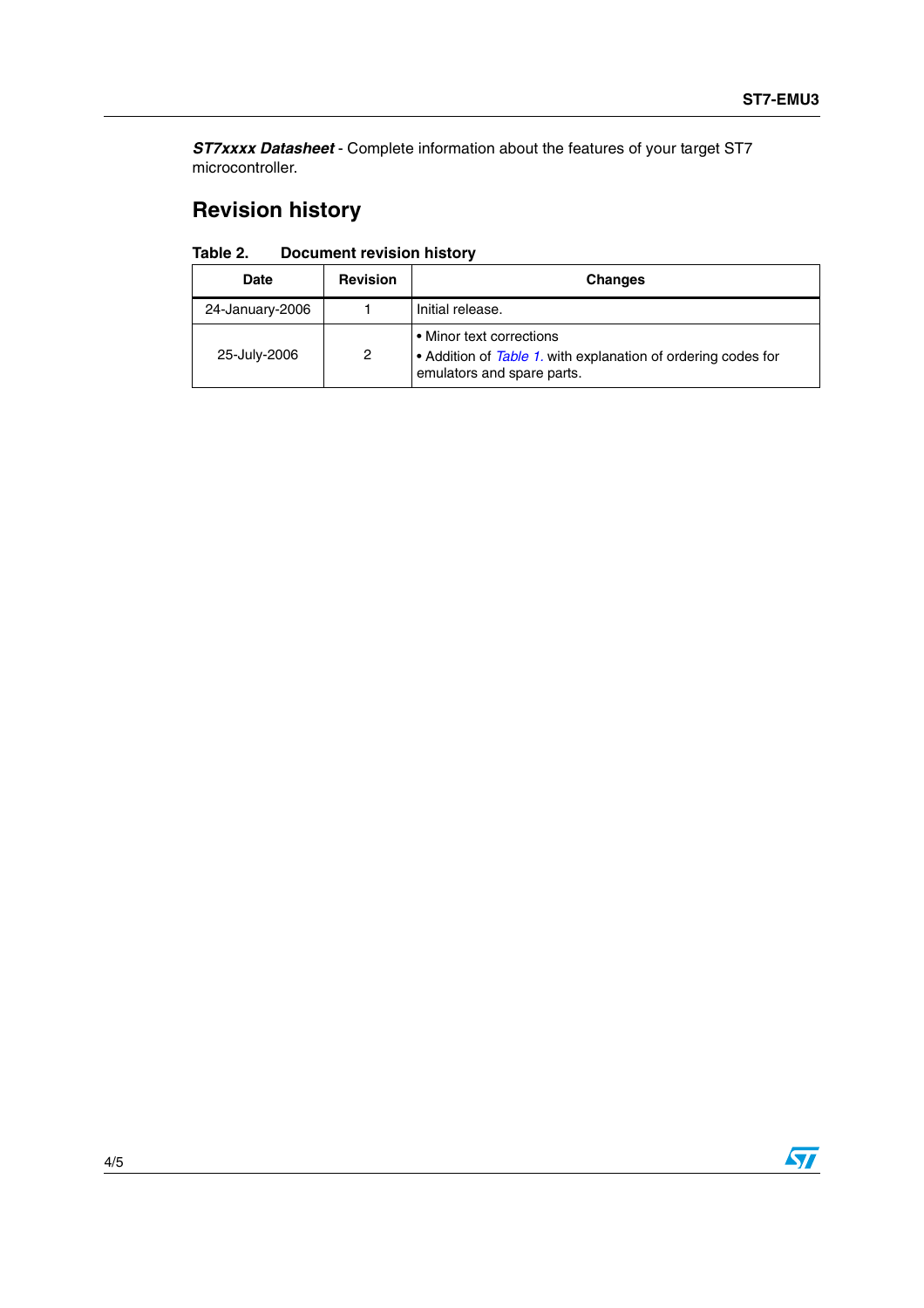**ST7xxxx Datasheet** - Complete information about the features of your target ST7 microcontroller.

# **Revision history**

| Table 2. | <b>Document revision history</b> |  |
|----------|----------------------------------|--|
|----------|----------------------------------|--|

| <b>Date</b>     | <b>Revision</b> | <b>Changes</b>                                                                                                        |
|-----------------|-----------------|-----------------------------------------------------------------------------------------------------------------------|
| 24-January-2006 |                 | Initial release.                                                                                                      |
| 25-July-2006    | 2               | • Minor text corrections<br>Addition of Table 1. with explanation of ordering codes for<br>emulators and spare parts. |